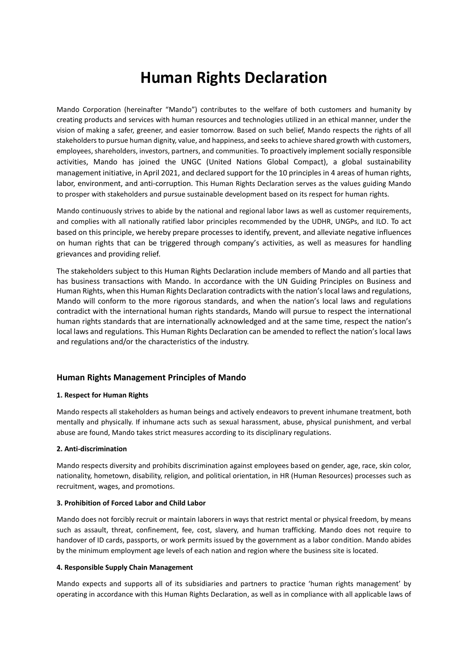# **Human Rights Declaration**

Mando Corporation (hereinafter "Mando") contributes to the welfare of both customers and humanity by creating products and services with human resources and technologies utilized in an ethical manner, under the vision of making a safer, greener, and easier tomorrow. Based on such belief, Mando respects the rights of all stakeholders to pursue human dignity, value, and happiness, and seeks to achieve shared growth with customers, employees, shareholders, investors, partners, and communities. To proactively implement socially responsible activities, Mando has joined the UNGC (United Nations Global Compact), a global sustainability management initiative, in April 2021, and declared support for the 10 principles in 4 areas of human rights, labor, environment, and anti-corruption. This Human Rights Declaration serves as the values guiding Mando to prosper with stakeholders and pursue sustainable development based on its respect for human rights.

Mando continuously strives to abide by the national and regional labor laws as well as customer requirements, and complies with all nationally ratified labor principles recommended by the UDHR, UNGPs, and ILO. To act based on this principle, we hereby prepare processes to identify, prevent, and alleviate negative influences on human rights that can be triggered through company's activities, as well as measures for handling grievances and providing relief.

The stakeholders subject to this Human Rights Declaration include members of Mando and all parties that has business transactions with Mando. In accordance with the UN Guiding Principles on Business and Human Rights, when this Human Rights Declaration contradicts with the nation's local laws and regulations, Mando will conform to the more rigorous standards, and when the nation's local laws and regulations contradict with the international human rights standards, Mando will pursue to respect the international human rights standards that are internationally acknowledged and at the same time, respect the nation's local laws and regulations. This Human Rights Declaration can be amended to reflect the nation's local laws and regulations and/or the characteristics of the industry.

# **Human Rights Management Principles of Mando**

#### **1. Respect for Human Rights**

Mando respects all stakeholders as human beings and actively endeavors to prevent inhumane treatment, both mentally and physically. If inhumane acts such as sexual harassment, abuse, physical punishment, and verbal abuse are found, Mando takes strict measures according to its disciplinary regulations.

#### **2. Anti-discrimination**

Mando respects diversity and prohibits discrimination against employees based on gender, age, race, skin color, nationality, hometown, disability, religion, and political orientation, in HR (Human Resources) processes such as recruitment, wages, and promotions.

#### **3. Prohibition of Forced Labor and Child Labor**

Mando does not forcibly recruit or maintain laborers in ways that restrict mental or physical freedom, by means such as assault, threat, confinement, fee, cost, slavery, and human trafficking. Mando does not require to handover of ID cards, passports, or work permits issued by the government as a labor condition. Mando abides by the minimum employment age levels of each nation and region where the business site is located.

#### **4. Responsible Supply Chain Management**

Mando expects and supports all of its subsidiaries and partners to practice 'human rights management' by operating in accordance with this Human Rights Declaration, as well as in compliance with all applicable laws of